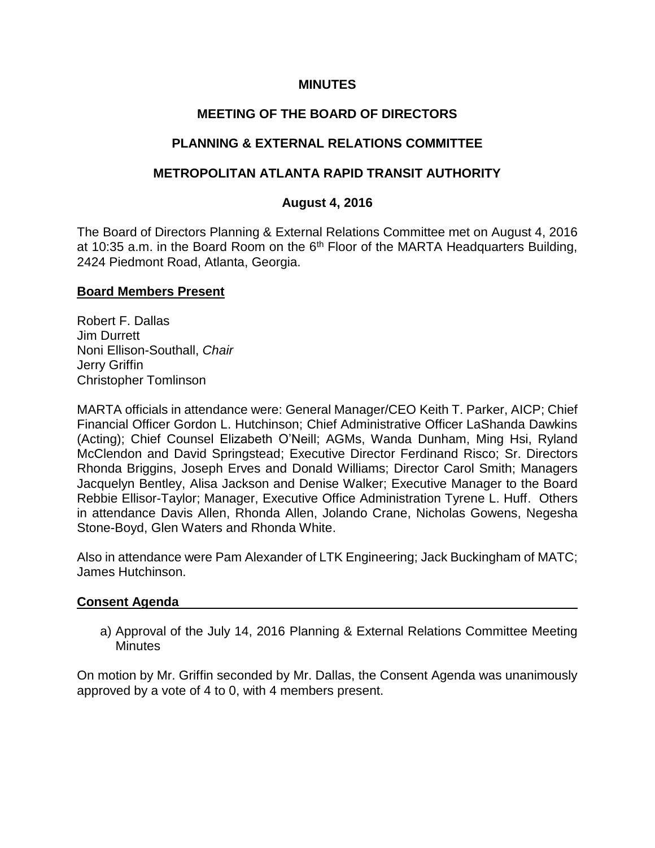## **MINUTES**

# **MEETING OF THE BOARD OF DIRECTORS**

# **PLANNING & EXTERNAL RELATIONS COMMITTEE**

## **METROPOLITAN ATLANTA RAPID TRANSIT AUTHORITY**

#### **August 4, 2016**

The Board of Directors Planning & External Relations Committee met on August 4, 2016 at 10:35 a.m. in the Board Room on the  $6<sup>th</sup>$  Floor of the MARTA Headquarters Building, 2424 Piedmont Road, Atlanta, Georgia.

#### **Board Members Present**

Robert F. Dallas Jim Durrett Noni Ellison-Southall, *Chair* Jerry Griffin Christopher Tomlinson

MARTA officials in attendance were: General Manager/CEO Keith T. Parker, AICP; Chief Financial Officer Gordon L. Hutchinson; Chief Administrative Officer LaShanda Dawkins (Acting); Chief Counsel Elizabeth O'Neill; AGMs, Wanda Dunham, Ming Hsi, Ryland McClendon and David Springstead; Executive Director Ferdinand Risco; Sr. Directors Rhonda Briggins, Joseph Erves and Donald Williams; Director Carol Smith; Managers Jacquelyn Bentley, Alisa Jackson and Denise Walker; Executive Manager to the Board Rebbie Ellisor-Taylor; Manager, Executive Office Administration Tyrene L. Huff. Others in attendance Davis Allen, Rhonda Allen, Jolando Crane, Nicholas Gowens, Negesha Stone-Boyd, Glen Waters and Rhonda White.

Also in attendance were Pam Alexander of LTK Engineering; Jack Buckingham of MATC; James Hutchinson.

#### **Consent Agenda**

a) Approval of the July 14, 2016 Planning & External Relations Committee Meeting **Minutes** 

On motion by Mr. Griffin seconded by Mr. Dallas, the Consent Agenda was unanimously approved by a vote of 4 to 0, with 4 members present.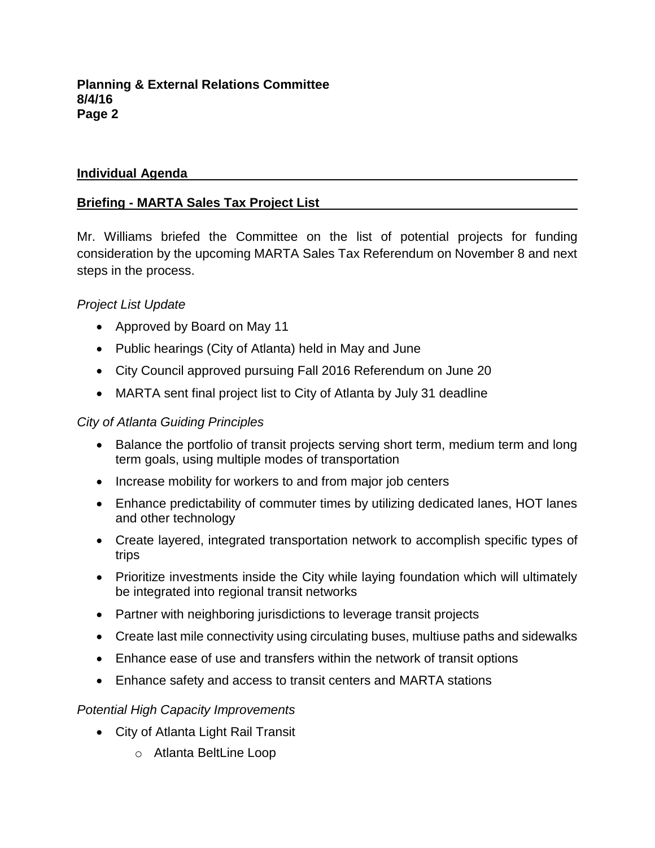# **Individual Agenda**

# **Briefing - MARTA Sales Tax Project List**

Mr. Williams briefed the Committee on the list of potential projects for funding consideration by the upcoming MARTA Sales Tax Referendum on November 8 and next steps in the process.

# *Project List Update*

- Approved by Board on May 11
- Public hearings (City of Atlanta) held in May and June
- City Council approved pursuing Fall 2016 Referendum on June 20
- MARTA sent final project list to City of Atlanta by July 31 deadline

# *City of Atlanta Guiding Principles*

- Balance the portfolio of transit projects serving short term, medium term and long term goals, using multiple modes of transportation
- Increase mobility for workers to and from major job centers
- Enhance predictability of commuter times by utilizing dedicated lanes, HOT lanes and other technology
- Create layered, integrated transportation network to accomplish specific types of trips
- Prioritize investments inside the City while laying foundation which will ultimately be integrated into regional transit networks
- Partner with neighboring jurisdictions to leverage transit projects
- Create last mile connectivity using circulating buses, multiuse paths and sidewalks
- Enhance ease of use and transfers within the network of transit options
- Enhance safety and access to transit centers and MARTA stations

## *Potential High Capacity Improvements*

- City of Atlanta Light Rail Transit
	- o Atlanta BeltLine Loop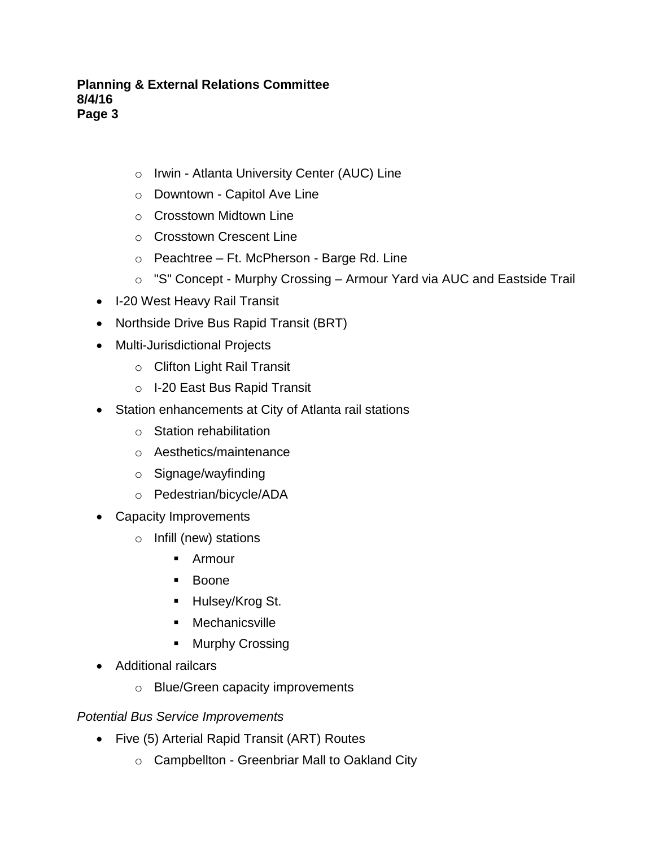- o Irwin Atlanta University Center (AUC) Line
- o Downtown Capitol Ave Line
- o Crosstown Midtown Line
- o Crosstown Crescent Line
- o Peachtree Ft. McPherson Barge Rd. Line
- o "S" Concept Murphy Crossing Armour Yard via AUC and Eastside Trail
- I-20 West Heavy Rail Transit
- Northside Drive Bus Rapid Transit (BRT)
- Multi-Jurisdictional Projects
	- o Clifton Light Rail Transit
	- o I-20 East Bus Rapid Transit
- Station enhancements at City of Atlanta rail stations
	- o Station rehabilitation
	- o Aesthetics/maintenance
	- o Signage/wayfinding
	- o Pedestrian/bicycle/ADA
- Capacity Improvements
	- o Infill (new) stations
		- Armour
		- Boone
		- Hulsey/Krog St.
		- **•** Mechanicsville
		- **Murphy Crossing**
- Additional railcars
	- o Blue/Green capacity improvements

## *Potential Bus Service Improvements*

- Five (5) Arterial Rapid Transit (ART) Routes
	- o Campbellton Greenbriar Mall to Oakland City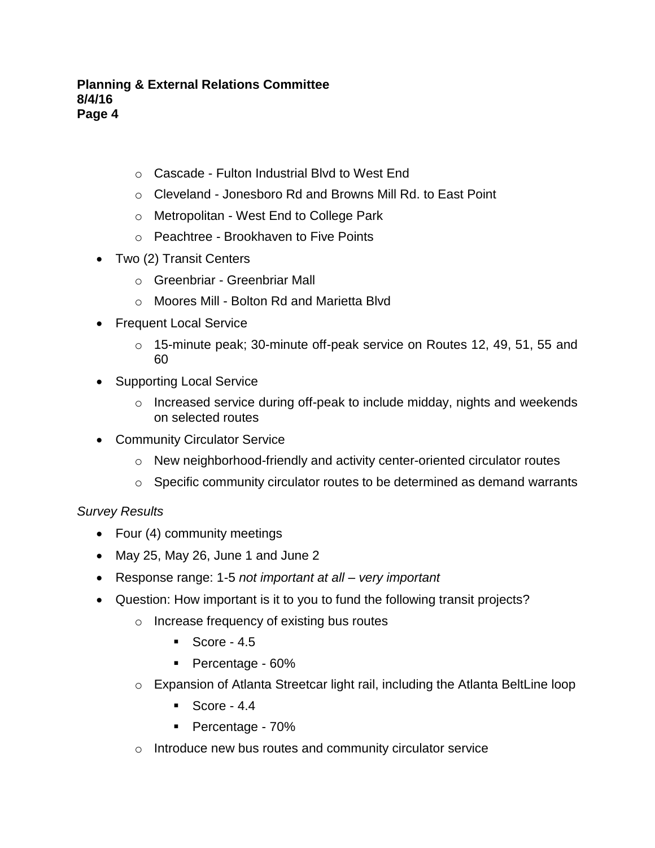- o Cascade Fulton Industrial Blvd to West End
- o Cleveland Jonesboro Rd and Browns Mill Rd. to East Point
- o Metropolitan West End to College Park
- o Peachtree Brookhaven to Five Points
- Two (2) Transit Centers
	- o Greenbriar Greenbriar Mall
	- o Moores Mill Bolton Rd and Marietta Blvd
- Frequent Local Service
	- $\circ$  15-minute peak; 30-minute off-peak service on Routes 12, 49, 51, 55 and 60
- Supporting Local Service
	- $\circ$  Increased service during off-peak to include midday, nights and weekends on selected routes
- Community Circulator Service
	- $\circ$  New neighborhood-friendly and activity center-oriented circulator routes
	- o Specific community circulator routes to be determined as demand warrants

## *Survey Results*

- Four (4) community meetings
- May 25, May 26, June 1 and June 2
- Response range: 1-5 *not important at all – very important*
- Question: How important is it to you to fund the following transit projects?
	- o Increase frequency of existing bus routes
		- $\sim$  Score 4.5
		- Percentage 60%
	- o Expansion of Atlanta Streetcar light rail, including the Atlanta BeltLine loop
		- $\sim$  Score 4.4
		- Percentage 70%
	- o Introduce new bus routes and community circulator service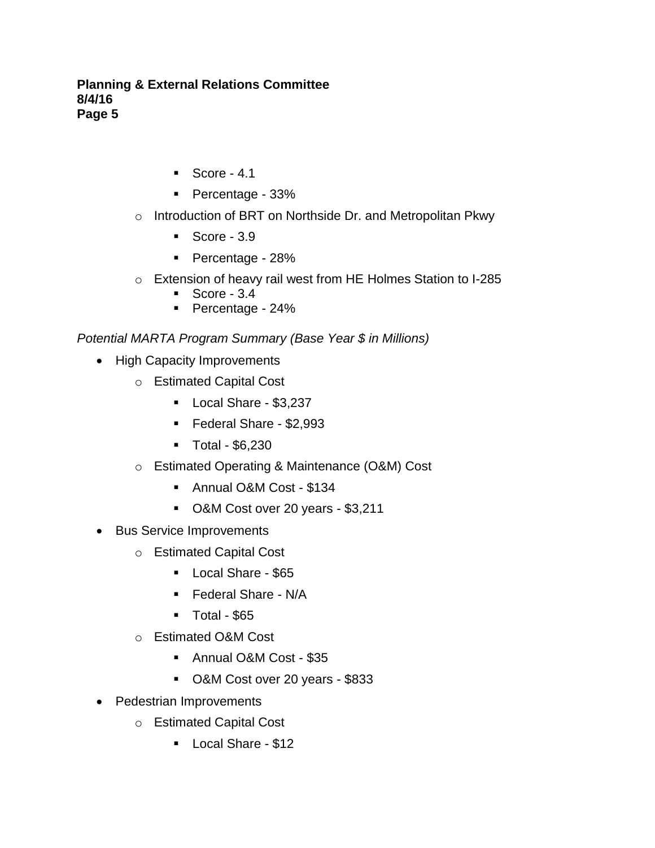- $\blacksquare$  Score 4.1
- **Percentage 33%**
- o Introduction of BRT on Northside Dr. and Metropolitan Pkwy
	- $\sim$  Score 3.9
	- Percentage 28%
- o Extension of heavy rail west from HE Holmes Station to I-285
	- $\sim$  Score 3.4
	- Percentage 24%

*Potential MARTA Program Summary (Base Year \$ in Millions)* 

- High Capacity Improvements
	- o Estimated Capital Cost
		- Local Share \$3,237
		- Federal Share \$2,993
		- Total \$6,230
	- o Estimated Operating & Maintenance (O&M) Cost
		- Annual O&M Cost \$134
		- O&M Cost over 20 years \$3,211
- Bus Service Improvements
	- o Estimated Capital Cost
		- Local Share \$65
		- **Federal Share N/A**
		- $\blacksquare$  Total \$65
	- o Estimated O&M Cost
		- Annual O&M Cost \$35
		- O&M Cost over 20 years \$833
- Pedestrian Improvements
	- o Estimated Capital Cost
		- **Local Share \$12**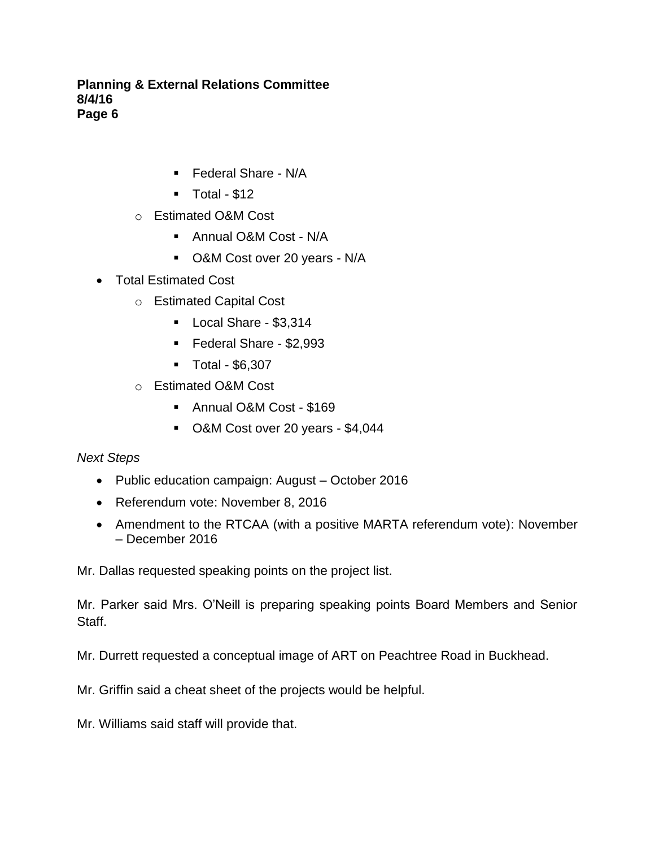- **Federal Share N/A**
- $\blacksquare$  Total \$12
- o Estimated O&M Cost
	- Annual O&M Cost N/A
	- O&M Cost over 20 years N/A
- Total Estimated Cost
	- o Estimated Capital Cost
		- **Local Share \$3,314**
		- Federal Share \$2,993
		- Total \$6,307
	- o Estimated O&M Cost
		- Annual O&M Cost \$169
		- O&M Cost over 20 years \$4,044

*Next Steps*

- Public education campaign: August October 2016
- Referendum vote: November 8, 2016
- Amendment to the RTCAA (with a positive MARTA referendum vote): November – December 2016

Mr. Dallas requested speaking points on the project list.

Mr. Parker said Mrs. O'Neill is preparing speaking points Board Members and Senior Staff.

Mr. Durrett requested a conceptual image of ART on Peachtree Road in Buckhead.

Mr. Griffin said a cheat sheet of the projects would be helpful.

Mr. Williams said staff will provide that.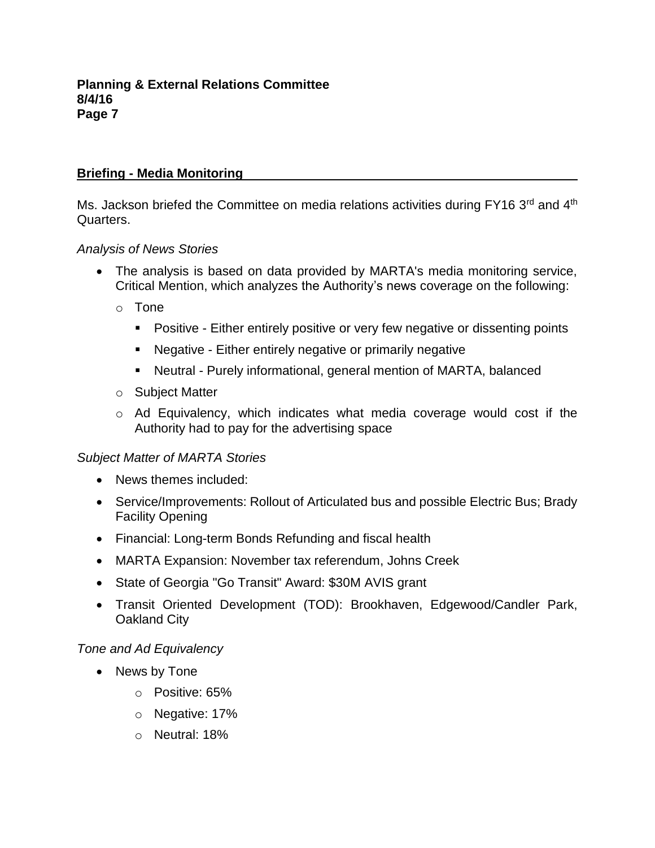# **Briefing - Media Monitoring**

Ms. Jackson briefed the Committee on media relations activities during FY16 3<sup>rd</sup> and 4<sup>th</sup> Quarters.

#### *Analysis of News Stories*

- The analysis is based on data provided by MARTA's media monitoring service, Critical Mention, which analyzes the Authority's news coverage on the following:
	- o Tone
		- **Positive Either entirely positive or very few negative or dissenting points**
		- Negative Either entirely negative or primarily negative
		- Neutral Purely informational, general mention of MARTA, balanced
	- o Subject Matter
	- o Ad Equivalency, which indicates what media coverage would cost if the Authority had to pay for the advertising space

## *Subject Matter of MARTA Stories*

- News themes included:
- Service/Improvements: Rollout of Articulated bus and possible Electric Bus; Brady Facility Opening
- Financial: Long-term Bonds Refunding and fiscal health
- MARTA Expansion: November tax referendum, Johns Creek
- State of Georgia "Go Transit" Award: \$30M AVIS grant
- Transit Oriented Development (TOD): Brookhaven, Edgewood/Candler Park, Oakland City

## *Tone and Ad Equivalency*

- News by Tone
	- o Positive: 65%
	- o Negative: 17%
	- o Neutral: 18%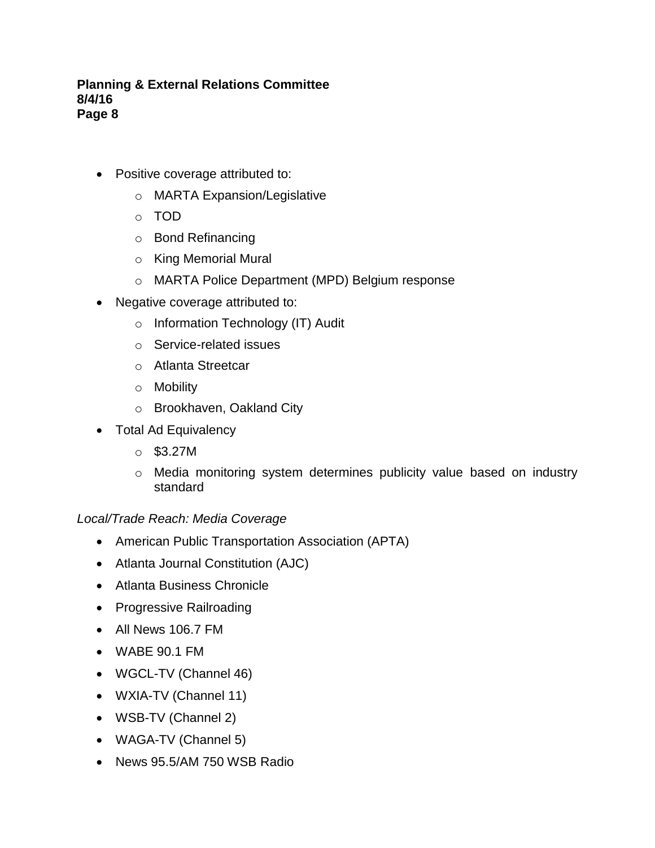- Positive coverage attributed to:
	- o MARTA Expansion/Legislative
	- o TOD
	- o Bond Refinancing
	- o King Memorial Mural
	- o MARTA Police Department (MPD) Belgium response
- Negative coverage attributed to:
	- o Information Technology (IT) Audit
	- o Service-related issues
	- o Atlanta Streetcar
	- o Mobility
	- o Brookhaven, Oakland City
- Total Ad Equivalency
	- o \$3.27M
	- o Media monitoring system determines publicity value based on industry standard

## *Local/Trade Reach: Media Coverage*

- American Public Transportation Association (APTA)
- Atlanta Journal Constitution (AJC)
- Atlanta Business Chronicle
- Progressive Railroading
- All News 106.7 FM
- WABE 90.1 FM
- WGCL-TV (Channel 46)
- WXIA-TV (Channel 11)
- WSB-TV (Channel 2)
- WAGA-TV (Channel 5)
- News 95.5/AM 750 WSB Radio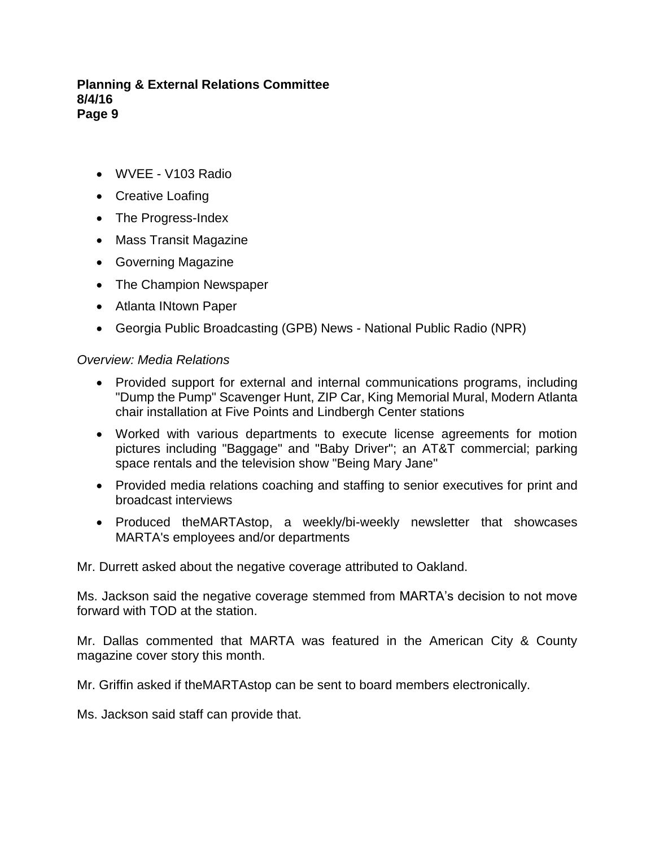- WVEE V103 Radio
- Creative Loafing
- The Progress-Index
- Mass Transit Magazine
- Governing Magazine
- The Champion Newspaper
- Atlanta INtown Paper
- Georgia Public Broadcasting (GPB) News National Public Radio (NPR)

# *Overview: Media Relations*

- Provided support for external and internal communications programs, including "Dump the Pump" Scavenger Hunt, ZIP Car, King Memorial Mural, Modern Atlanta chair installation at Five Points and Lindbergh Center stations
- Worked with various departments to execute license agreements for motion pictures including "Baggage" and "Baby Driver"; an AT&T commercial; parking space rentals and the television show "Being Mary Jane"
- Provided media relations coaching and staffing to senior executives for print and broadcast interviews
- Produced theMARTAstop, a weekly/bi-weekly newsletter that showcases MARTA's employees and/or departments

Mr. Durrett asked about the negative coverage attributed to Oakland.

Ms. Jackson said the negative coverage stemmed from MARTA's decision to not move forward with TOD at the station.

Mr. Dallas commented that MARTA was featured in the American City & County magazine cover story this month.

Mr. Griffin asked if theMARTAstop can be sent to board members electronically.

Ms. Jackson said staff can provide that.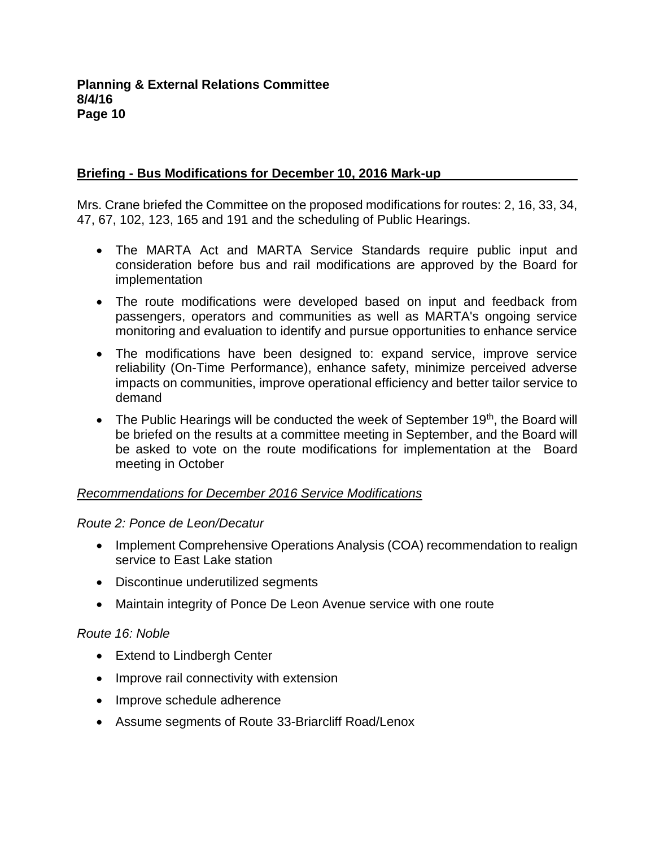# **Briefing - Bus Modifications for December 10, 2016 Mark-up**

Mrs. Crane briefed the Committee on the proposed modifications for routes: 2, 16, 33, 34, 47, 67, 102, 123, 165 and 191 and the scheduling of Public Hearings.

- The MARTA Act and MARTA Service Standards require public input and consideration before bus and rail modifications are approved by the Board for implementation
- The route modifications were developed based on input and feedback from passengers, operators and communities as well as MARTA's ongoing service monitoring and evaluation to identify and pursue opportunities to enhance service
- The modifications have been designed to: expand service, improve service reliability (On-Time Performance), enhance safety, minimize perceived adverse impacts on communities, improve operational efficiency and better tailor service to demand
- $\bullet$  The Public Hearings will be conducted the week of September 19<sup>th</sup>, the Board will be briefed on the results at a committee meeting in September, and the Board will be asked to vote on the route modifications for implementation at the Board meeting in October

## *Recommendations for December 2016 Service Modifications*

## *Route 2: Ponce de Leon/Decatur*

- Implement Comprehensive Operations Analysis (COA) recommendation to realign service to East Lake station
- Discontinue underutilized segments
- Maintain integrity of Ponce De Leon Avenue service with one route

## *Route 16: Noble*

- Extend to Lindbergh Center
- Improve rail connectivity with extension
- Improve schedule adherence
- Assume segments of Route 33-Briarcliff Road/Lenox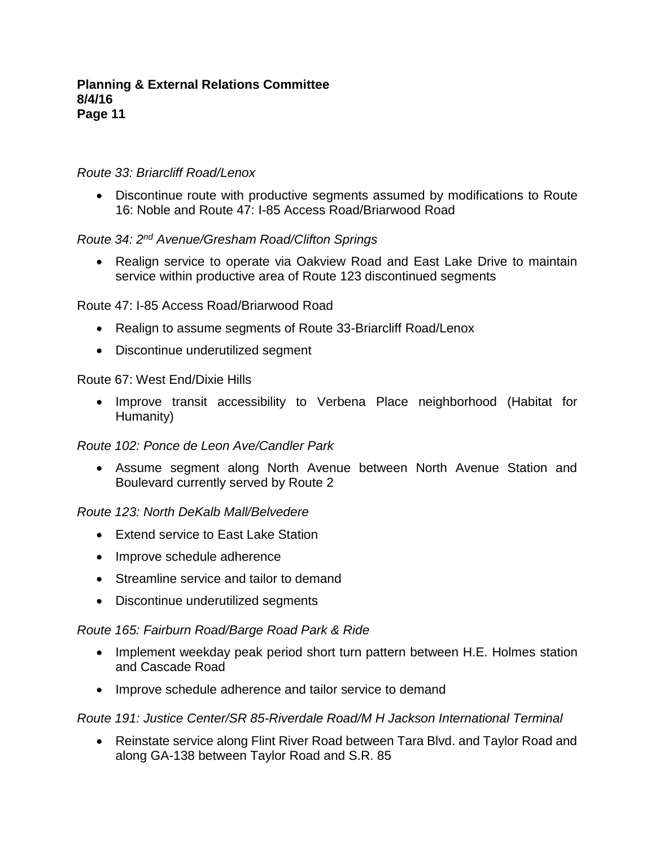#### *Route 33: Briarcliff Road/Lenox*

 Discontinue route with productive segments assumed by modifications to Route 16: Noble and Route 47: I-85 Access Road/Briarwood Road

#### *Route 34: 2nd Avenue/Gresham Road/Clifton Springs*

 Realign service to operate via Oakview Road and East Lake Drive to maintain service within productive area of Route 123 discontinued segments

#### Route 47: I-85 Access Road/Briarwood Road

- Realign to assume segments of Route 33-Briarcliff Road/Lenox
- Discontinue underutilized segment

#### Route 67: West End/Dixie Hills

 Improve transit accessibility to Verbena Place neighborhood (Habitat for Humanity)

#### *Route 102: Ponce de Leon Ave/Candler Park*

 Assume segment along North Avenue between North Avenue Station and Boulevard currently served by Route 2

#### *Route 123: North DeKalb Mall/Belvedere*

- Extend service to East Lake Station
- Improve schedule adherence
- Streamline service and tailor to demand
- Discontinue underutilized segments

## *Route 165: Fairburn Road/Barge Road Park & Ride*

- Implement weekday peak period short turn pattern between H.E. Holmes station and Cascade Road
- Improve schedule adherence and tailor service to demand

## *Route 191: Justice Center/SR 85-Riverdale Road/M H Jackson International Terminal*

 Reinstate service along Flint River Road between Tara Blvd. and Taylor Road and along GA-138 between Taylor Road and S.R. 85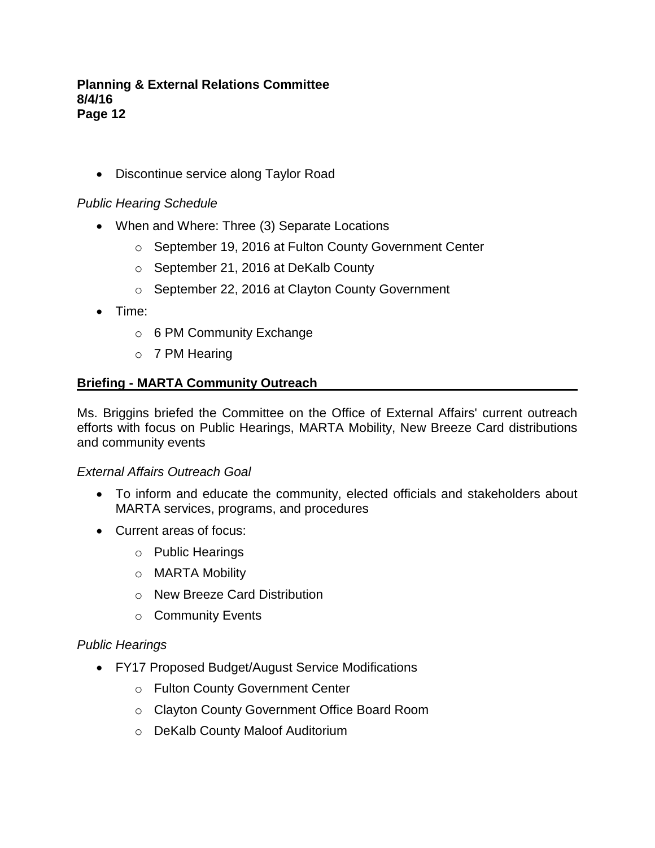• Discontinue service along Taylor Road

## *Public Hearing Schedule*

- When and Where: Three (3) Separate Locations
	- o September 19, 2016 at Fulton County Government Center
	- o September 21, 2016 at DeKalb County
	- o September 22, 2016 at Clayton County Government
- Time:
	- o 6 PM Community Exchange
	- o 7 PM Hearing

# **Briefing - MARTA Community Outreach**

Ms. Briggins briefed the Committee on the Office of External Affairs' current outreach efforts with focus on Public Hearings, MARTA Mobility, New Breeze Card distributions and community events

## *External Affairs Outreach Goal*

- To inform and educate the community, elected officials and stakeholders about MARTA services, programs, and procedures
- Current areas of focus:
	- o Public Hearings
	- o MARTA Mobility
	- o New Breeze Card Distribution
	- o Community Events

## *Public Hearings*

- FY17 Proposed Budget/August Service Modifications
	- o Fulton County Government Center
	- o Clayton County Government Office Board Room
	- o DeKalb County Maloof Auditorium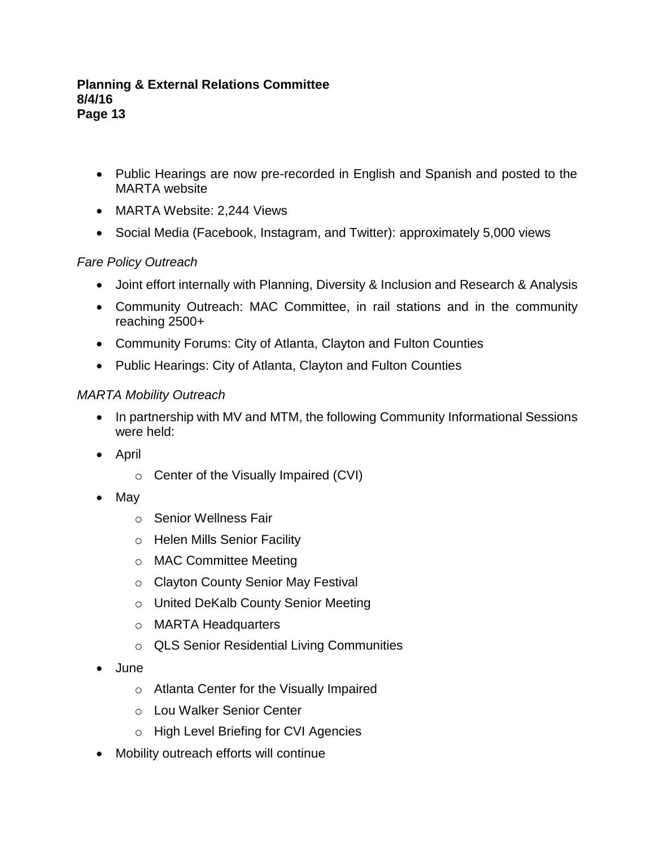- Public Hearings are now pre-recorded in English and Spanish and posted to the MARTA website
- MARTA Website: 2,244 Views
- Social Media (Facebook, Instagram, and Twitter): approximately 5,000 views

# *Fare Policy Outreach*

- Joint effort internally with Planning, Diversity & Inclusion and Research & Analysis
- Community Outreach: MAC Committee, in rail stations and in the community reaching 2500+
- Community Forums: City of Atlanta, Clayton and Fulton Counties
- Public Hearings: City of Atlanta, Clayton and Fulton Counties

## *MARTA Mobility Outreach*

- In partnership with MV and MTM, the following Community Informational Sessions were held:
- April
	- o Center of the Visually Impaired (CVI)
- May
	- o Senior Wellness Fair
	- o Helen Mills Senior Facility
	- o MAC Committee Meeting
	- o Clayton County Senior May Festival
	- o United DeKalb County Senior Meeting
	- o MARTA Headquarters
	- o QLS Senior Residential Living Communities
- June
	- o Atlanta Center for the Visually Impaired
	- o Lou Walker Senior Center
	- o High Level Briefing for CVI Agencies
- Mobility outreach efforts will continue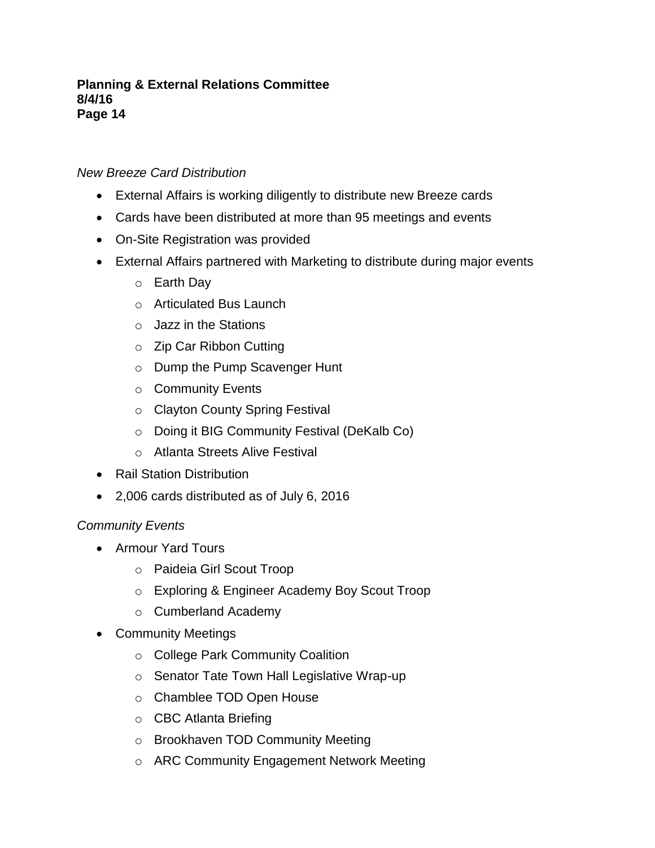# *New Breeze Card Distribution*

- External Affairs is working diligently to distribute new Breeze cards
- Cards have been distributed at more than 95 meetings and events
- On-Site Registration was provided
- External Affairs partnered with Marketing to distribute during major events
	- o Earth Day
	- o Articulated Bus Launch
	- o Jazz in the Stations
	- o Zip Car Ribbon Cutting
	- o Dump the Pump Scavenger Hunt
	- o Community Events
	- o Clayton County Spring Festival
	- o Doing it BIG Community Festival (DeKalb Co)
	- o Atlanta Streets Alive Festival
- Rail Station Distribution
- 2,006 cards distributed as of July 6, 2016

# *Community Events*

- Armour Yard Tours
	- o Paideia Girl Scout Troop
	- o Exploring & Engineer Academy Boy Scout Troop
	- o Cumberland Academy
- Community Meetings
	- o College Park Community Coalition
	- o Senator Tate Town Hall Legislative Wrap-up
	- o Chamblee TOD Open House
	- o CBC Atlanta Briefing
	- o Brookhaven TOD Community Meeting
	- o ARC Community Engagement Network Meeting